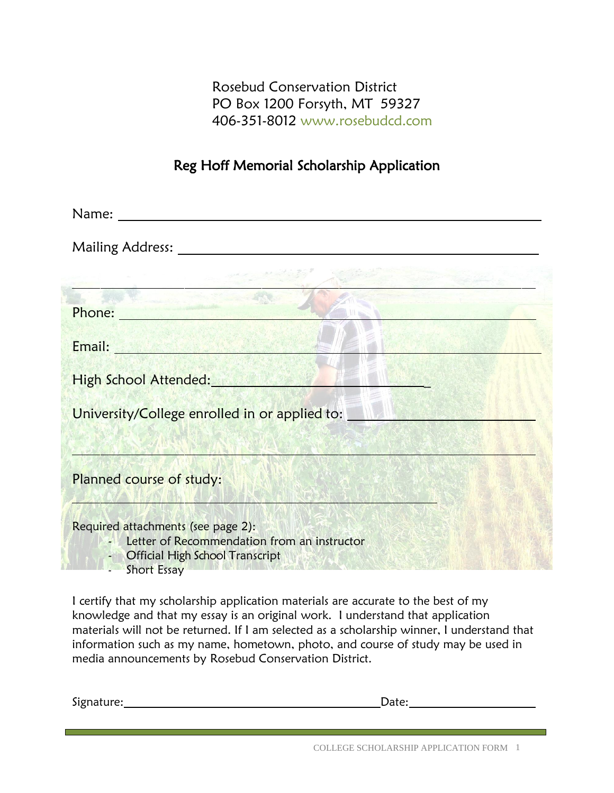Rosebud Conservation District PO Box 1200 Forsyth, MT 59327 406-351-8012 [www.rosebudcd.com](file:///C:/Users/roseb/AppData/Local/Packages/microsoft.windowscommunicationsapps_8wekyb3d8bbwe/LocalState/Files/S0/23/Attachments/www.rosebudcd.com)

# Reg Hoff Memorial Scholarship Application

| Name:                                                                                                                                        |
|----------------------------------------------------------------------------------------------------------------------------------------------|
|                                                                                                                                              |
|                                                                                                                                              |
| Phone:                                                                                                                                       |
| The Marie Court of the Court of the Court of the Court<br>Email:                                                                             |
| High School Attended:                                                                                                                        |
| University/College enrolled in or applied to:                                                                                                |
|                                                                                                                                              |
| Planned course of study:                                                                                                                     |
| Required attachments (see page 2):<br>Letter of Recommendation from an instructor<br>- Official High School Transcript<br><b>Short Essay</b> |

I certify that my scholarship application materials are accurate to the best of my knowledge and that my essay is an original work. I understand that application materials will not be returned. If I am selected as a scholarship winner, I understand that information such as my name, hometown, photo, and course of study may be used in media announcements by Rosebud Conservation District.

Signature: Date: Date: Date: Date: Date: Date: Date: Date: Date: Date: Date: Date: Date: Date: Date: Date: Date: Date: Date: Date: Date: Date: Date: Date: Date: Date: Date: Date: Date: Date: Date: Date: Date: Date: Date: D